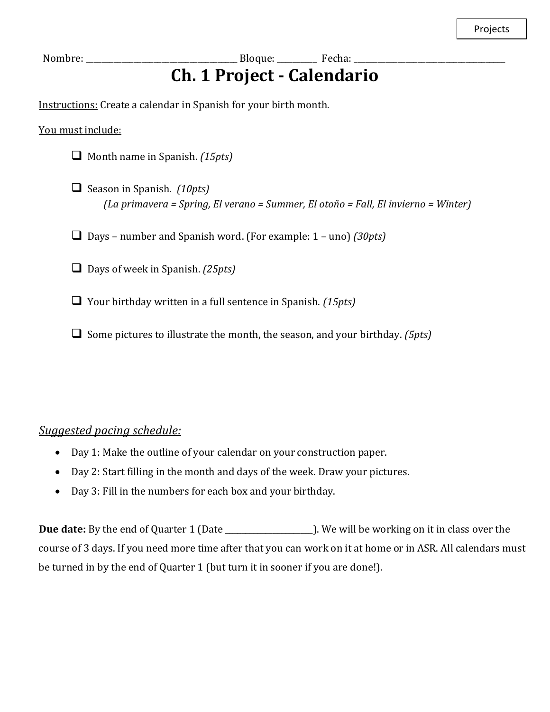## **Ch. 1 Project - Calendario**

Instructions: Create a calendar in Spanish for your birth month.

You must include:

- ❑ Month name in Spanish. *(15pts)*
- ❑ Season in Spanish. *(10pts) (La primavera = Spring, El verano = Summer, El otoño = Fall, El invierno = Winter)*
- ❑ Days number and Spanish word. (For example: 1 uno) *(30pts)*
- ❑ Days of week in Spanish. *(25pts)*
- ❑ Your birthday written in a full sentence in Spanish. *(15pts)*
- ❑ Some pictures to illustrate the month, the season, and your birthday. *(5pts)*

## *Suggested pacing schedule:*

- Day 1: Make the outline of your calendar on your construction paper.
- Day 2: Start filling in the month and days of the week. Draw your pictures.
- Day 3: Fill in the numbers for each box and your birthday.

**Due date:** By the end of Quarter 1 (Date \_\_\_\_\_\_\_\_\_\_\_\_\_\_\_\_\_\_\_\_\_\_). We will be working on it in class over the course of 3 days. If you need more time after that you can work on it at home or in ASR. All calendars must be turned in by the end of Quarter 1 (but turn it in sooner if you are done!).